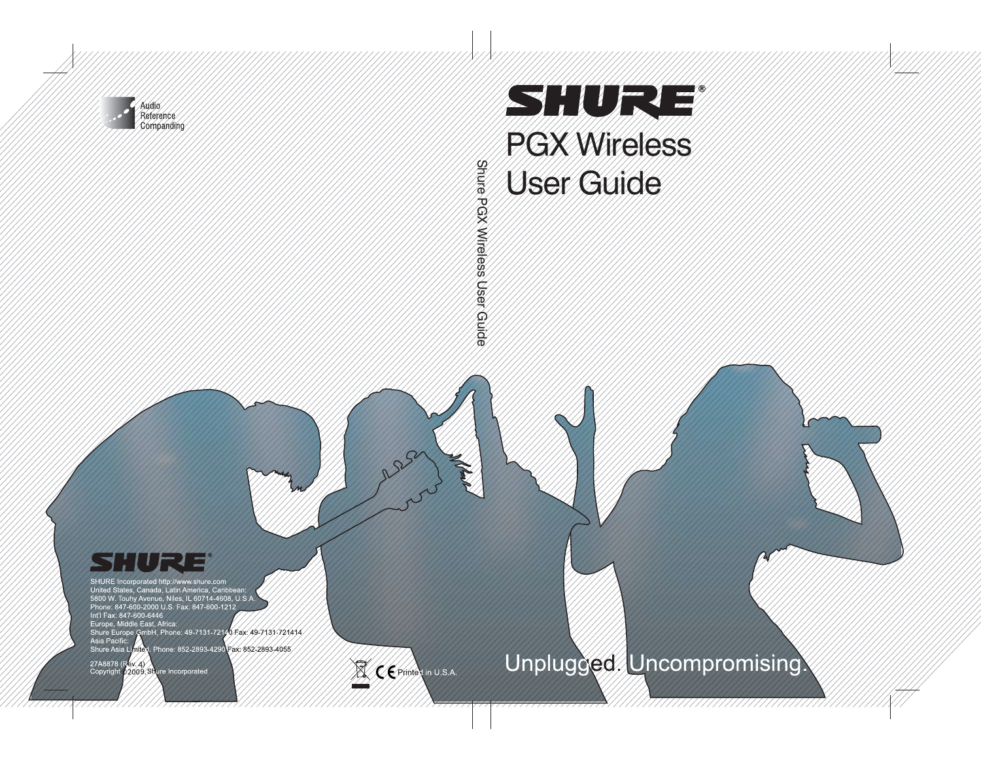

# **The Communication of the Communication** PGX Wireless User Guide

**Stuire** Shure PGX Wireless User Guide PGX Wireless User Guide

## 

SHURE Incorporated http://www.shure.com United States, Canada, Latin America, Caribbean:<br>5800 W. Touhy Avenue, Niles, IL 60714-4608, U.S.A Phone: 847-600-2000 U.S. Fax: 847-600-1212 Int'l Fax: 847-600-6446 Europe, Middle East, Africa Shure Europe GmbH, Phone: 49-7131-72140 Fax: 49-7131-721414 Asia Pacific: Shure Asia Limited, Phone: 852-2893-4290 Fax: 852-2893-4055

27A8878 (Rev. 4)<br>Copyright p2009, Shure Incorporated

CE Printes in U.S.A.

## Unplugged. Uncompromising.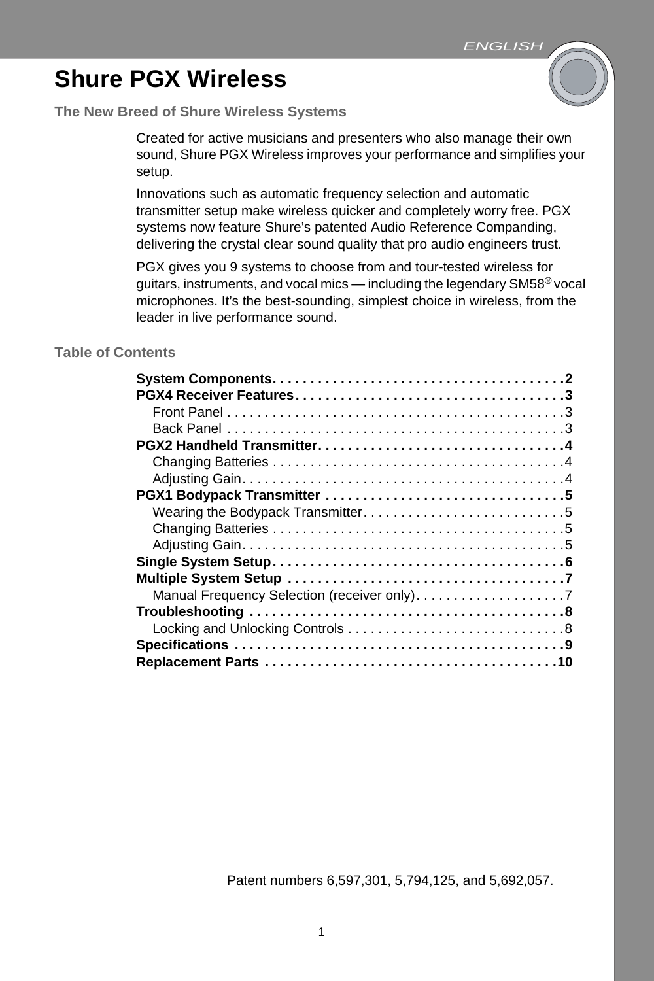### **Shure PGX Wireless**

### **The New Breed of Shure Wireless Systems**

Created for active musicians and presenters who also manage their own sound, Shure PGX Wireless improves your performance and simplifies your setup.

Innovations such as automatic frequency selection and automatic transmitter setup make wireless quicker and completely worry free. PGX systems now feature Shure's patented Audio Reference Companding, delivering the crystal clear sound quality that pro audio engineers trust.

PGX gives you 9 systems to choose from and tour-tested wireless for guitars, instruments, and vocal mics — including the legendary SM58**®** vocal microphones. It's the best-sounding, simplest choice in wireless, from the leader in live performance sound.

### **Table of Contents**

Patent numbers 6,597,301, 5,794,125, and 5,692,057.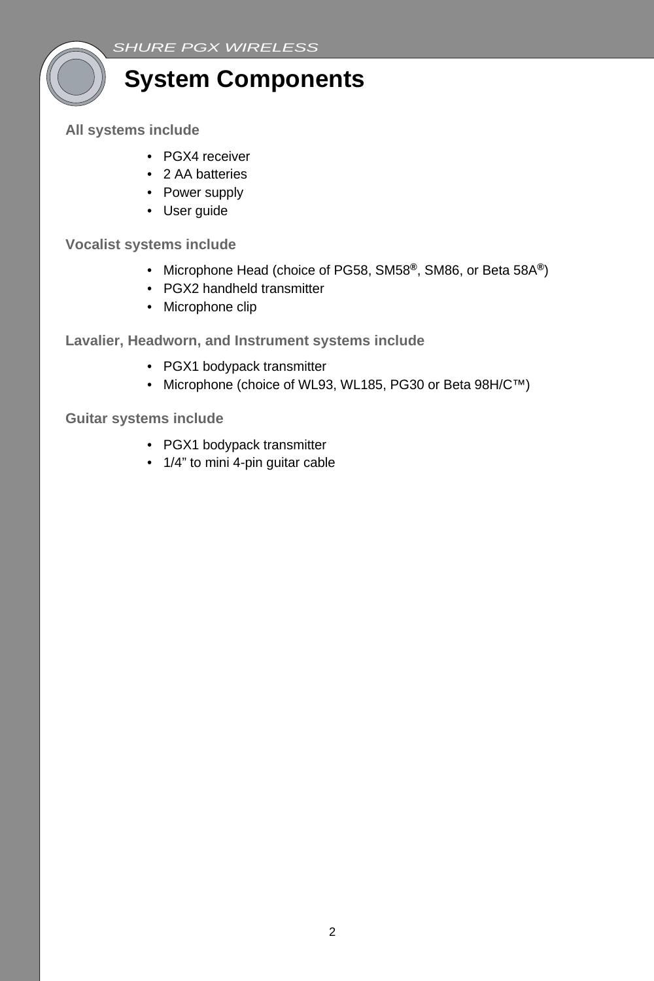

**All systems include**

- PGX4 receiver
- 2 AA batteries
- Power supply
- User guide

### **Vocalist systems include**

- Microphone Head (choice of PG58, SM58**®**, SM86, or Beta 58A**®**)
- PGX2 handheld transmitter
- Microphone clip

**Lavalier, Headworn, and Instrument systems include**

- PGX1 bodypack transmitter
- Microphone (choice of WL93, WL185, PG30 or Beta 98H/C™)

**Guitar systems include**

- PGX1 bodypack transmitter
- 1/4" to mini 4-pin guitar cable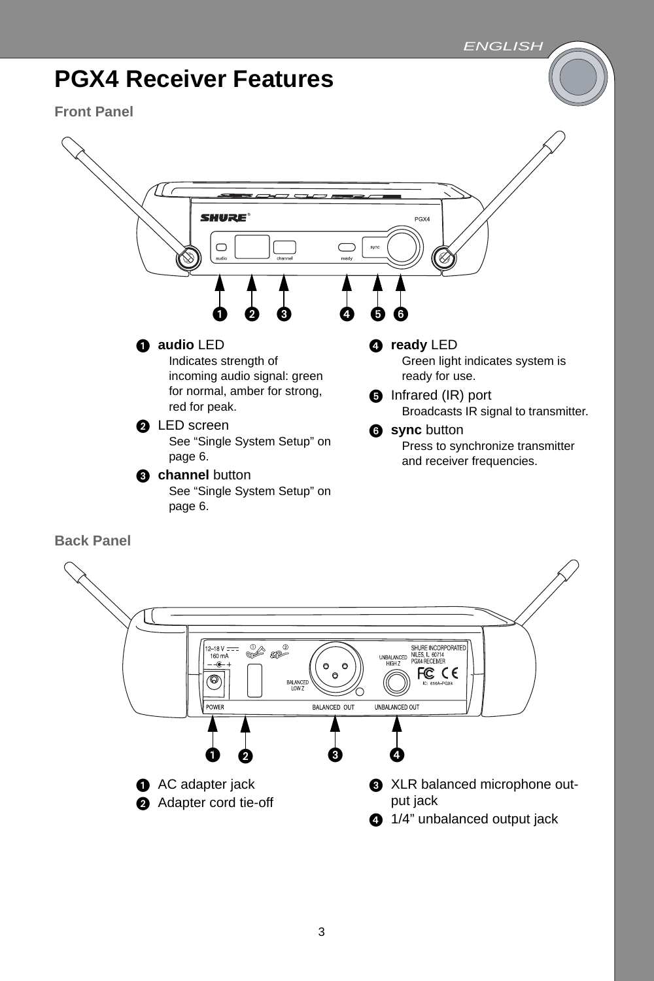



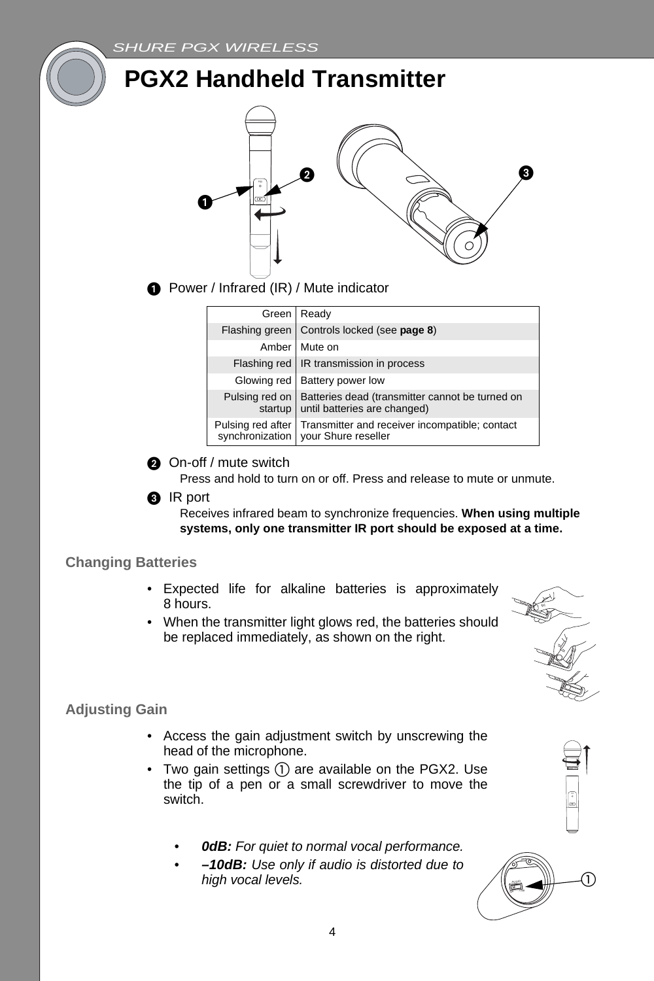

**O** Power / Infrared (IR) / Mute indicator

**PGX2 Handheld Transmitter**

|                   | Green   Ready                                                                                            |
|-------------------|----------------------------------------------------------------------------------------------------------|
|                   | Flashing green   Controls locked (see page 8)                                                            |
|                   | Amber Mute on                                                                                            |
|                   | Flashing red   IR transmission in process                                                                |
|                   | Glowing red   Battery power low                                                                          |
|                   | Pulsing red on   Batteries dead (transmitter cannot be turned on<br>startup until batteries are changed) |
| Pulsing red after | Transmitter and receiver incompatible; contact<br>synchronization   your Shure reseller                  |

**On-off** / mute switch

Press and hold to turn on or off. Press and release to mute or unmute.

#### **8** IR port

Receives infrared beam to synchronize frequencies. **When using multiple systems, only one transmitter IR port should be exposed at a time.**

#### **Changing Batteries**

- Expected life for alkaline batteries is approximately 8 hours.
- When the transmitter light glows red, the batteries should be replaced immediately, as shown on the right.



### **Adjusting Gain**

- Access the gain adjustment switch by unscrewing the head of the microphone.
- Two gain settings  $(1)$  are available on the PGX2. Use the tip of a pen or a small screwdriver to move the switch.
	- *• 0dB: For quiet to normal vocal performance.*
	- *• –10dB: Use only if audio is distorted due to high vocal levels.*

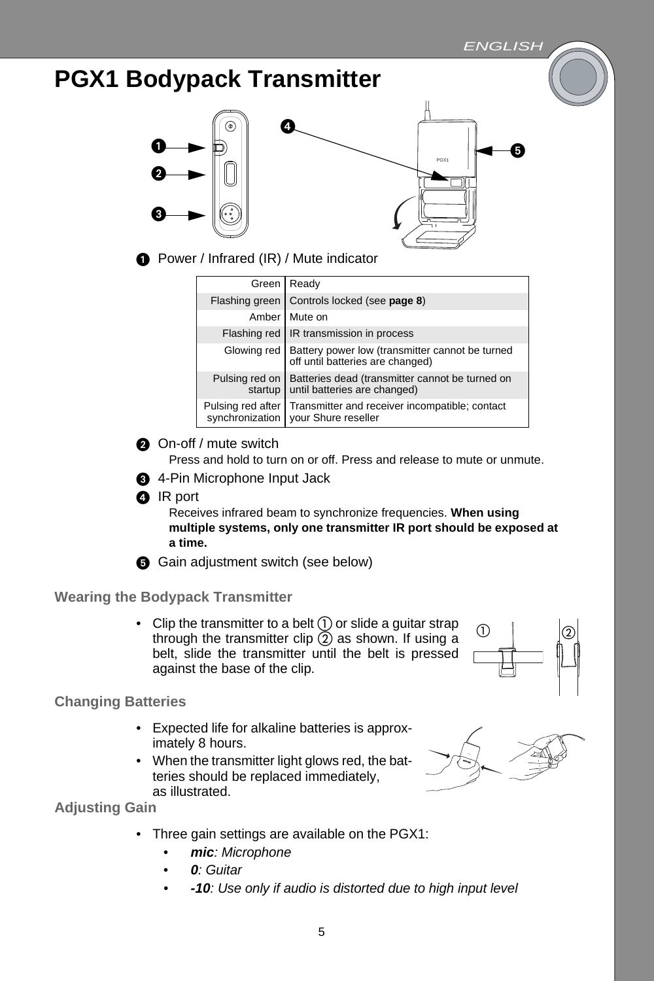### **PGX1 Bodypack Transmitter**





**O** Power / Infrared (IR) / Mute indicator

|                   | Green Ready                                                                                       |
|-------------------|---------------------------------------------------------------------------------------------------|
| Flashing green    | Controls locked (see page 8)                                                                      |
| Amber             | Mute on                                                                                           |
|                   | Flashing red   IR transmission in process                                                         |
|                   | Glowing red   Battery power low (transmitter cannot be turned<br>off until batteries are changed) |
| Pulsing red on    | Batteries dead (transmitter cannot be turned on<br>startup until batteries are changed)           |
| Pulsing red after | Transmitter and receiver incompatible; contact<br>synchronization   your Shure reseller           |

**On-off** / mute switch

Press and hold to turn on or off. Press and release to mute or unmute.

- **4-Pin Microphone Input Jack**
- **O** IR port

Receives infrared beam to synchronize frequencies. **When using multiple systems, only one transmitter IR port should be exposed at a time.**

G Gain adjustment switch (see below)

### **Wearing the Bodypack Transmitter**

• Clip the transmitter to a belt  $(1)$  or slide a guitar strap through the transmitter clip  $(2)$  as shown. If using a belt, slide the transmitter until the belt is pressed against the base of the clip.

### **Changing Batteries**

- Expected life for alkaline batteries is approximately 8 hours.
- When the transmitter light glows red, the batteries should be replaced immediately, as illustrated.



 $\begin{array}{|c|c|c|c|}\n\hline\n0 & | & \hline\end{array}$ 

**Adjusting Gain**

- Three gain settings are available on the PGX1:
	- *• mic: Microphone*
	- *• 0: Guitar*
	- *• -10: Use only if audio is distorted due to high input level*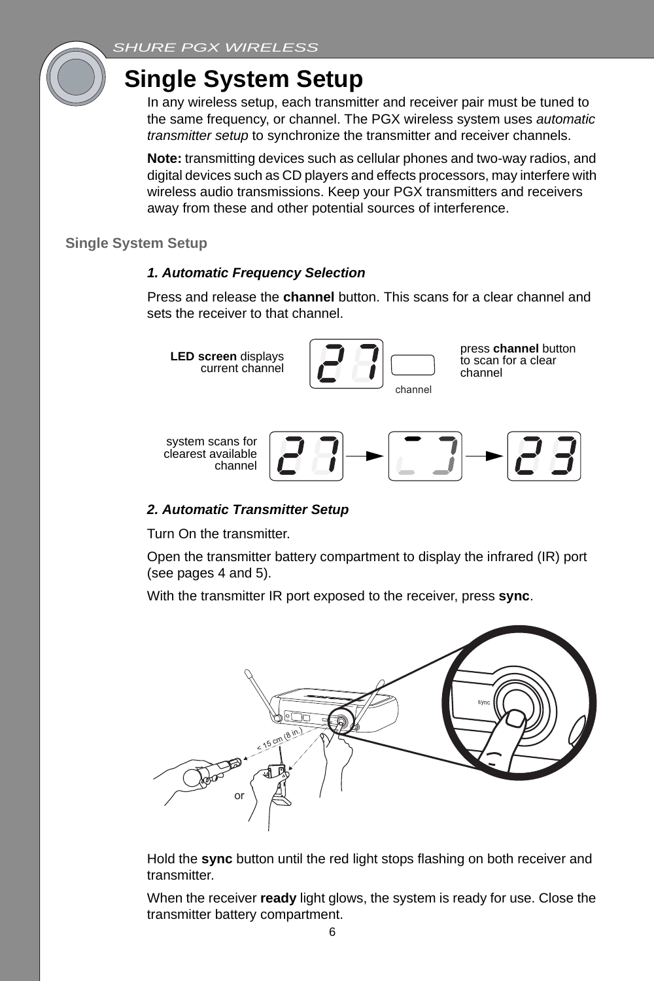

### **Single System Setup**

In any wireless setup, each transmitter and receiver pair must be tuned to the same frequency, or channel. The PGX wireless system uses *automatic transmitter setup* to synchronize the transmitter and receiver channels.

**Note:** transmitting devices such as cellular phones and two-way radios, and digital devices such as CD players and effects processors, may interfere with wireless audio transmissions. Keep your PGX transmitters and receivers away from these and other potential sources of interference.

### **Single System Setup**

### *1. Automatic Frequency Selection*

Press and release the **channel** button. This scans for a clear channel and sets the receiver to that channel.



### *2. Automatic Transmitter Setup*

Turn On the transmitter.

Open the transmitter battery compartment to display the infrared (IR) port (see pages 4 and 5).

With the transmitter IR port exposed to the receiver, press **sync**.



Hold the **sync** button until the red light stops flashing on both receiver and transmitter.

When the receiver **ready** light glows, the system is ready for use. Close the transmitter battery compartment.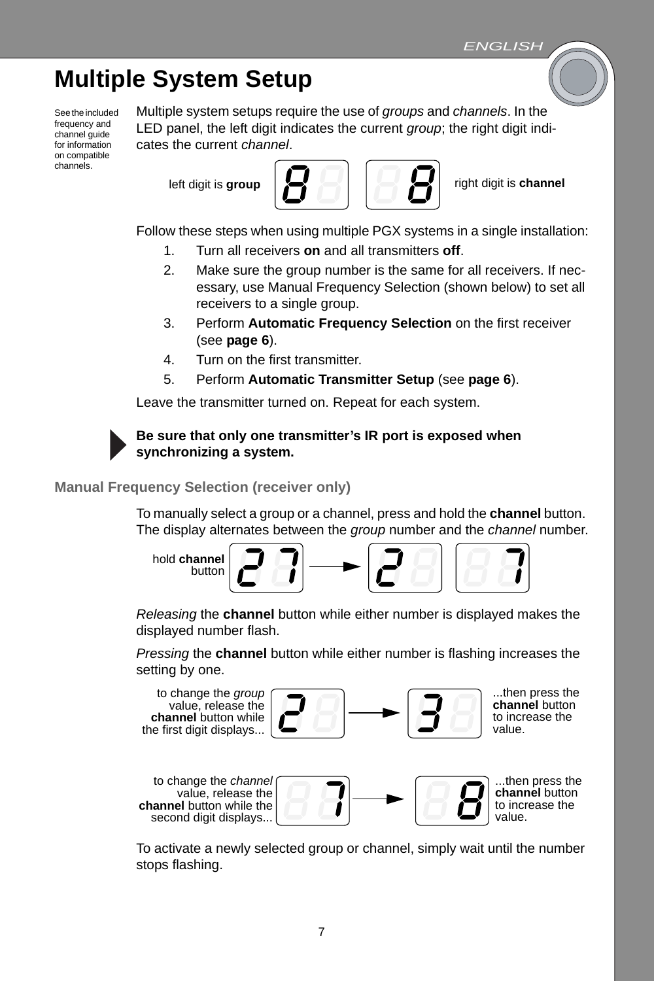### **Multiple System Setup**

See the included frequency and channel guide for information on compatible channels.

Multiple system setups require the use of *groups* and *channels*. In the LED panel, the left digit indicates the current *group*; the right digit indicates the current *channel*.



Follow these steps when using multiple PGX systems in a single installation:

- 1. Turn all receivers **on** and all transmitters **off**.
- 2. Make sure the group number is the same for all receivers. If necessary, use Manual Frequency Selection (shown below) to set all receivers to a single group.
- 3. Perform **Automatic Frequency Selection** on the first receiver (see **page 6**).
- 4. Turn on the first transmitter.
- 5. Perform **Automatic Transmitter Setup** (see **page 6**).

Leave the transmitter turned on. Repeat for each system.

### **Be sure that only one transmitter's IR port is exposed when synchronizing a system.**

**Manual Frequency Selection (receiver only)**

To manually select a group or a channel, press and hold the **channel** button. The display alternates between the *group* number and the *channel* number.

hold **channel** button

*Releasing* the **channel** button while either number is displayed makes the displayed number flash.

*Pressing* the **channel** button while either number is flashing increases the setting by one.



To activate a newly selected group or channel, simply wait until the number stops flashing.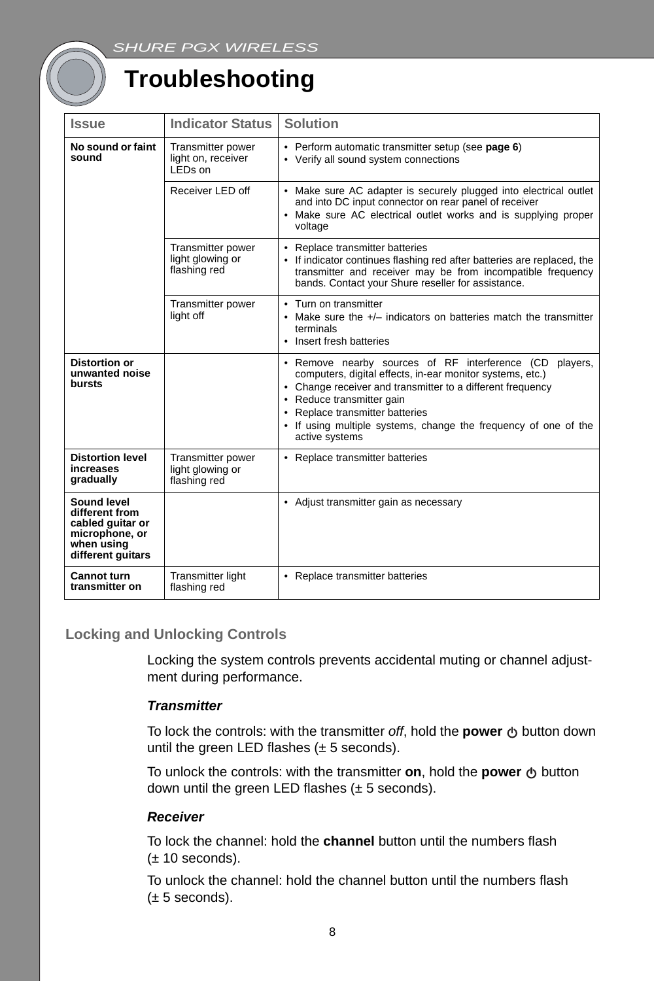### **Troubleshooting**

| <b>Issue</b>                                                                                           | <b>Indicator Status</b>                                        | <b>Solution</b>                                                                                                                                                                                                                                                                                                                         |
|--------------------------------------------------------------------------------------------------------|----------------------------------------------------------------|-----------------------------------------------------------------------------------------------------------------------------------------------------------------------------------------------------------------------------------------------------------------------------------------------------------------------------------------|
| No sound or faint<br>sound                                                                             | Transmitter power<br>light on, receiver<br>LED <sub>s</sub> on | • Perform automatic transmitter setup (see page 6)<br>• Verify all sound system connections                                                                                                                                                                                                                                             |
|                                                                                                        | Receiver LED off                                               | • Make sure AC adapter is securely plugged into electrical outlet<br>and into DC input connector on rear panel of receiver<br>• Make sure AC electrical outlet works and is supplying proper<br>voltage                                                                                                                                 |
|                                                                                                        | Transmitter power<br>light glowing or<br>flashing red          | • Replace transmitter batteries<br>• If indicator continues flashing red after batteries are replaced, the<br>transmitter and receiver may be from incompatible frequency<br>bands. Contact your Shure reseller for assistance.                                                                                                         |
|                                                                                                        | Transmitter power<br>light off                                 | • Turn on transmitter<br>• Make sure the +/- indicators on batteries match the transmitter<br>terminals<br>• Insert fresh batteries                                                                                                                                                                                                     |
| <b>Distortion or</b><br>unwanted noise<br>bursts                                                       |                                                                | • Remove nearby sources of RF interference (CD players,<br>computers, digital effects, in-ear monitor systems, etc.)<br>• Change receiver and transmitter to a different frequency<br>• Reduce transmitter gain<br>• Replace transmitter batteries<br>• If using multiple systems, change the frequency of one of the<br>active systems |
| <b>Distortion level</b><br>increases<br>gradually                                                      | Transmitter power<br>light glowing or<br>flashing red          | • Replace transmitter batteries                                                                                                                                                                                                                                                                                                         |
| Sound level<br>different from<br>cabled guitar or<br>microphone, or<br>when using<br>different guitars |                                                                | • Adjust transmitter gain as necessary                                                                                                                                                                                                                                                                                                  |
| <b>Cannot turn</b><br>transmitter on                                                                   | <b>Transmitter light</b><br>flashing red                       | • Replace transmitter batteries                                                                                                                                                                                                                                                                                                         |

### **Locking and Unlocking Controls**

Locking the system controls prevents accidental muting or channel adjustment during performance.

### *Transmitter*

To lock the controls: with the transmitter off, hold the **power**  $\uplus$  button down until the green LED flashes  $(\pm 5 \text{ seconds})$ .

To unlock the controls: with the transmitter **on**, hold the **power**  $\Phi$  button down until the green LED flashes  $(\pm 5$  seconds).

#### *Receiver*

To lock the channel: hold the **channel** button until the numbers flash  $(\pm 10$  seconds).

To unlock the channel: hold the channel button until the numbers flash  $(\pm 5$  seconds).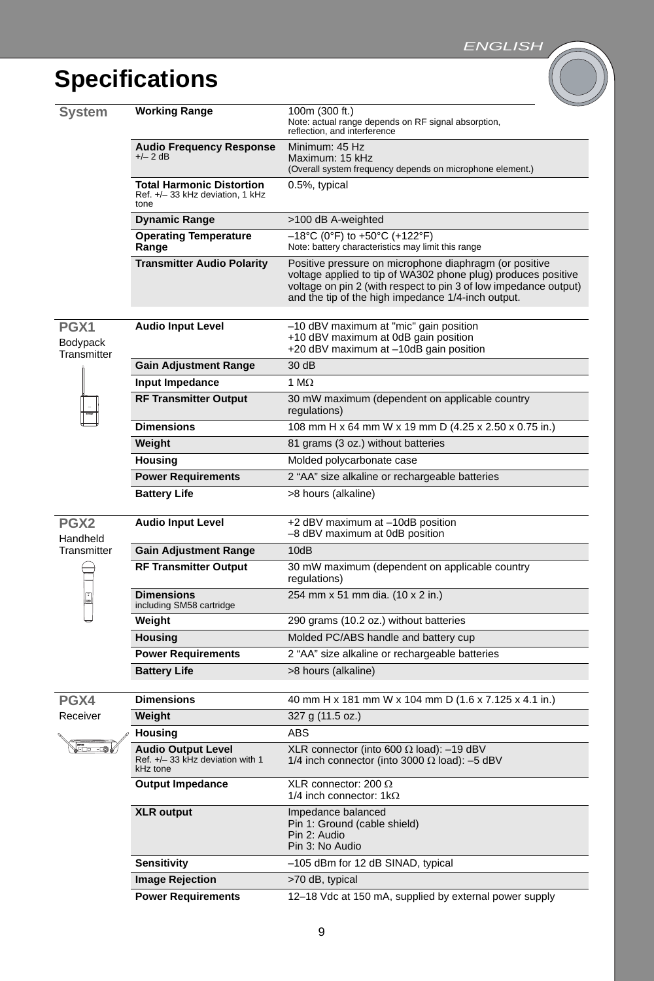### **Specifications**

| System                       | <b>Working Range</b>                                                        | 100m (300 ft.)<br>Note: actual range depends on RF signal absorption,<br>reflection, and interference                                                                                                                                             |
|------------------------------|-----------------------------------------------------------------------------|---------------------------------------------------------------------------------------------------------------------------------------------------------------------------------------------------------------------------------------------------|
|                              | <b>Audio Frequency Response</b><br>$+/- 2 dB$                               | Minimum: 45 Hz<br>Maximum: 15 kHz<br>(Overall system frequency depends on microphone element.)                                                                                                                                                    |
|                              | <b>Total Harmonic Distortion</b><br>Ref. +/-33 kHz deviation, 1 kHz<br>tone | 0.5%, typical                                                                                                                                                                                                                                     |
|                              | <b>Dynamic Range</b>                                                        | >100 dB A-weighted                                                                                                                                                                                                                                |
|                              | <b>Operating Temperature</b><br>Range                                       | $-18^{\circ}$ C (0°F) to +50°C (+122°F)<br>Note: battery characteristics may limit this range                                                                                                                                                     |
|                              | <b>Transmitter Audio Polarity</b>                                           | Positive pressure on microphone diaphragm (or positive<br>voltage applied to tip of WA302 phone plug) produces positive<br>voltage on pin 2 (with respect to pin 3 of low impedance output)<br>and the tip of the high impedance 1/4-inch output. |
| PGX1<br>Bodypack             | <b>Audio Input Level</b>                                                    | -10 dBV maximum at "mic" gain position<br>+10 dBV maximum at 0dB gain position<br>+20 dBV maximum at -10dB gain position                                                                                                                          |
| Transmitter                  | <b>Gain Adjustment Range</b>                                                | 30 dB                                                                                                                                                                                                                                             |
|                              | Input Impedance                                                             | 1 M $\Omega$                                                                                                                                                                                                                                      |
|                              | <b>RF Transmitter Output</b>                                                | 30 mW maximum (dependent on applicable country<br>regulations)                                                                                                                                                                                    |
|                              | <b>Dimensions</b>                                                           | 108 mm H x 64 mm W x 19 mm D (4.25 x 2.50 x 0.75 in.)                                                                                                                                                                                             |
|                              | Weight                                                                      | 81 grams (3 oz.) without batteries                                                                                                                                                                                                                |
|                              | Housing                                                                     | Molded polycarbonate case                                                                                                                                                                                                                         |
|                              | <b>Power Requirements</b>                                                   | 2 "AA" size alkaline or rechargeable batteries                                                                                                                                                                                                    |
|                              | <b>Battery Life</b>                                                         | >8 hours (alkaline)                                                                                                                                                                                                                               |
| PGX <sub>2</sub><br>Handheld | <b>Audio Input Level</b>                                                    | +2 dBV maximum at -10dB position<br>-8 dBV maximum at 0dB position                                                                                                                                                                                |
| Transmitter                  | <b>Gain Adjustment Range</b>                                                | 10dB                                                                                                                                                                                                                                              |
|                              | <b>RF Transmitter Output</b>                                                | 30 mW maximum (dependent on applicable country<br>regulations)                                                                                                                                                                                    |
| o                            | <b>Dimensions</b><br>including SM58 cartridge                               | 254 mm x 51 mm dia. (10 x 2 in.)                                                                                                                                                                                                                  |
|                              | Weight                                                                      | 290 grams (10.2 oz.) without batteries                                                                                                                                                                                                            |
|                              | <b>Housing</b>                                                              | Molded PC/ABS handle and battery cup                                                                                                                                                                                                              |
|                              | <b>Power Requirements</b>                                                   | 2 "AA" size alkaline or rechargeable batteries                                                                                                                                                                                                    |
|                              | <b>Battery Life</b>                                                         | >8 hours (alkaline)                                                                                                                                                                                                                               |
| PGX4                         | <b>Dimensions</b>                                                           | 40 mm H x 181 mm W x 104 mm D (1.6 x 7.125 x 4.1 in.)                                                                                                                                                                                             |
| Receiver                     | Weight                                                                      | 327 g (11.5 oz.)                                                                                                                                                                                                                                  |
|                              | Housing                                                                     | <b>ABS</b>                                                                                                                                                                                                                                        |
| — - 0                        | <b>Audio Output Level</b><br>Ref. +/-33 kHz deviation with 1<br>kHz tone    | XLR connector (into 600 $\Omega$ load): -19 dBV<br>1/4 inch connector (into 3000 $\Omega$ load): -5 dBV                                                                                                                                           |
|                              | Output Impedance                                                            | XLR connector: 200 $\Omega$<br>1/4 inch connector: $1k\Omega$                                                                                                                                                                                     |
|                              | <b>XLR</b> output                                                           | Impedance balanced<br>Pin 1: Ground (cable shield)<br>Pin 2: Audio<br>Pin 3: No Audio                                                                                                                                                             |
|                              | Sensitivity                                                                 | -105 dBm for 12 dB SINAD, typical                                                                                                                                                                                                                 |
|                              | <b>Image Rejection</b>                                                      | >70 dB, typical                                                                                                                                                                                                                                   |
|                              | <b>Power Requirements</b>                                                   | 12-18 Vdc at 150 mA, supplied by external power supply                                                                                                                                                                                            |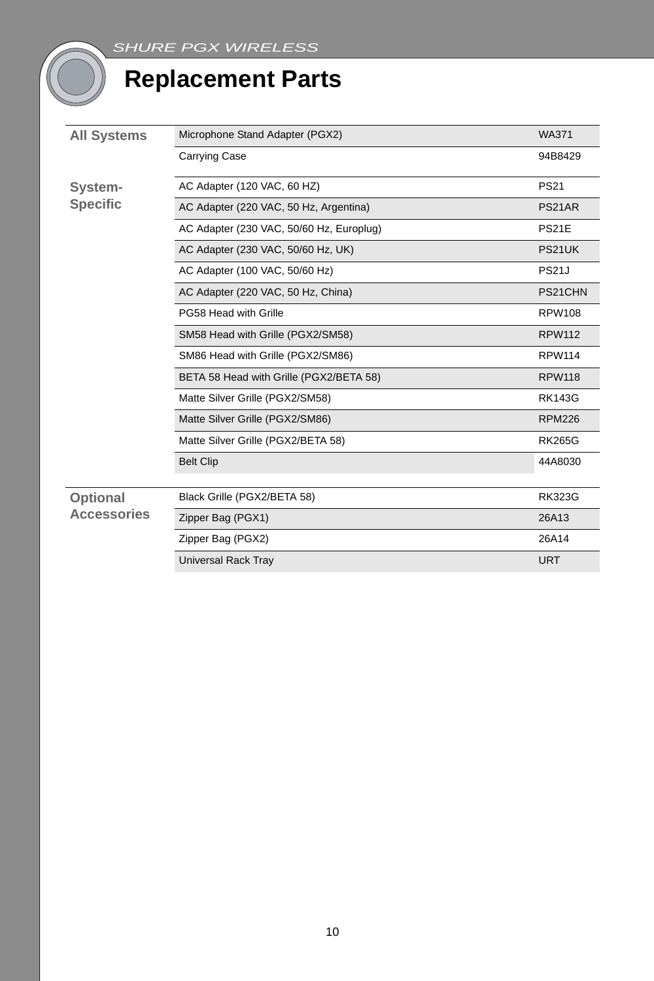### **Replacement Parts**

| <b>All Systems</b>             | Microphone Stand Adapter (PGX2)          | <b>WA371</b>  |
|--------------------------------|------------------------------------------|---------------|
|                                | <b>Carrying Case</b>                     | 94B8429       |
| System-                        | AC Adapter (120 VAC, 60 HZ)              | <b>PS21</b>   |
| <b>Specific</b>                | AC Adapter (220 VAC, 50 Hz, Argentina)   | PS21AR        |
|                                | AC Adapter (230 VAC, 50/60 Hz, Europlug) | <b>PS21E</b>  |
|                                | AC Adapter (230 VAC, 50/60 Hz, UK)       | PS21UK        |
|                                | AC Adapter (100 VAC, 50/60 Hz)           | <b>PS21J</b>  |
|                                | AC Adapter (220 VAC, 50 Hz, China)       | PS21CHN       |
|                                | PG58 Head with Grille                    | <b>RPW108</b> |
|                                | SM58 Head with Grille (PGX2/SM58)        | <b>RPW112</b> |
|                                | SM86 Head with Grille (PGX2/SM86)        | <b>RPW114</b> |
|                                | BETA 58 Head with Grille (PGX2/BETA 58)  | <b>RPW118</b> |
|                                | Matte Silver Grille (PGX2/SM58)          | <b>RK143G</b> |
|                                | Matte Silver Grille (PGX2/SM86)          | <b>RPM226</b> |
|                                | Matte Silver Grille (PGX2/BETA 58)       | <b>RK265G</b> |
|                                | <b>Belt Clip</b>                         | 44A8030       |
| Optional<br><b>Accessories</b> | Black Grille (PGX2/BETA 58)              | <b>RK323G</b> |
|                                | Zipper Bag (PGX1)                        | 26A13         |
|                                | Zipper Bag (PGX2)                        | 26A14         |
|                                | <b>Universal Rack Tray</b>               | <b>URT</b>    |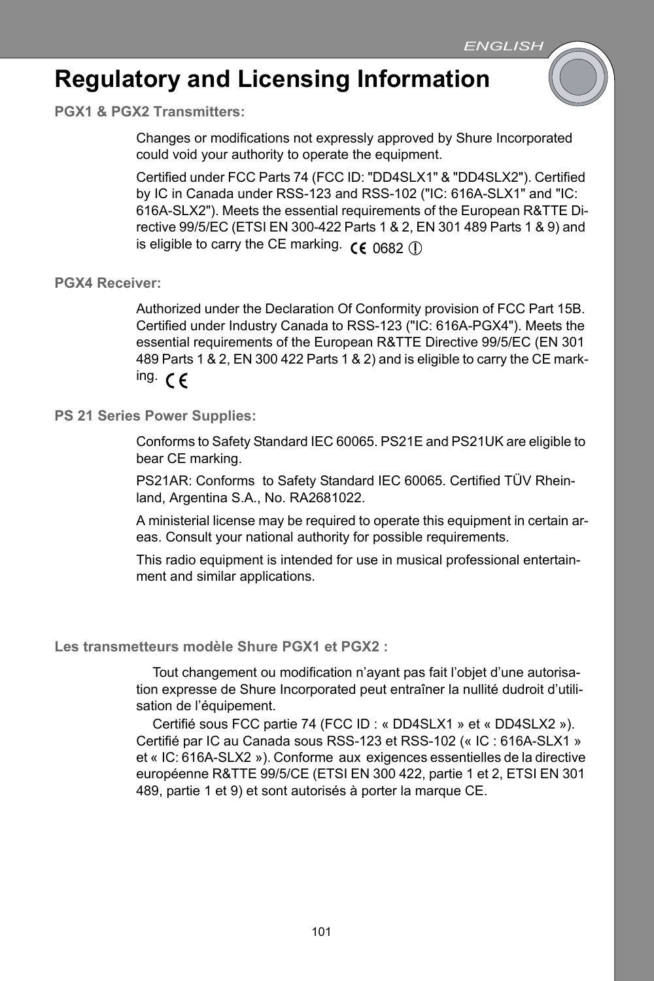### **Regulatory and Licensing Information**

**PGX1 & PGX2 Transmitters:**

Changes or modifications not expressly approved by Shure Incorporated could void your authority to operate the equipment.

Certified under FCC Parts 74 (FCC ID: "DD4SLX1" & "DD4SLX2"). Certified by IC in Canada under RSS-123 and RSS-102 ("IC: 616A-SLX1" and "IC: 616A-SLX2"). Meets the essential requirements of the European R&TTE Directive 99/5/EC (ETSI EN 300-422 Parts 1 & 2, EN 301 489 Parts 1 & 9) and is eligible to carry the CE marking.  $\zeta \in 0682$  (i)

**PGX4 Receiver:**

Authorized under the Declaration Of Conformity provision of FCC Part 15B. Certified under Industry Canada to RSS-123 ("IC: 616A-PGX4"). Meets the essential requirements of the European R&TTE Directive 99/5/EC (EN 301 489 Parts 1 & 2, EN 300 422 Parts 1 & 2) and is eligible to carry the CE marking.  $\epsilon$ 

**PS 21 Series Power Supplies:**

Conforms to Safety Standard IEC 60065. PS21E and PS21UK are eligible to bear CE marking.

PS21AR: Conforms to Safety Standard IEC 60065. Certified TÜV Rheinland, Argentina S.A., No. RA2681022.

A ministerial license may be required to operate this equipment in certain areas. Consult your national authority for possible requirements.

This radio equipment is intended for use in musical professional entertainment and similar applications.

**Les transmetteurs modèle Shure PGX1 et PGX2 :**

Tout changement ou modification n'ayant pas fait l'objet d'une autorisation expresse de Shure Incorporated peut entraîner la nullité dudroit d'utilisation de l'équipement.

Certifié sous FCC partie 74 (FCC ID : « DD4SLX1 » et « DD4SLX2 »). Certifié par IC au Canada sous RSS-123 et RSS-102 (« IC : 616A-SLX1 » et « IC: 616A-SLX2 »). Conforme aux exigences essentielles de la directive européenne R&TTE 99/5/CE (ETSI EN 300 422, partie 1 et 2, ETSI EN 301 489, partie 1 et 9) et sont autorisés à porter la marque CE.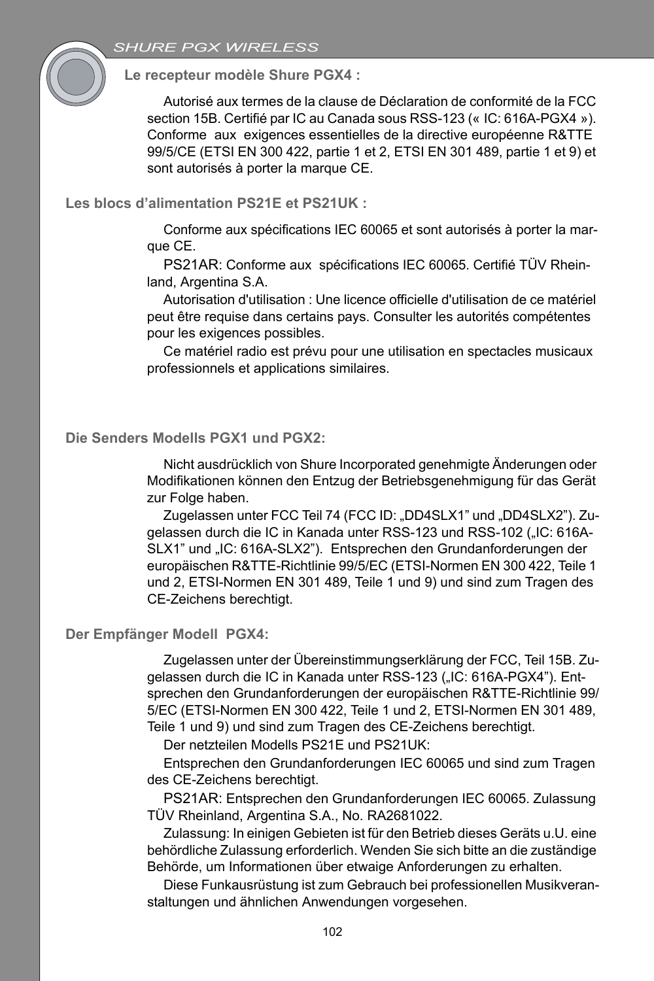### *SHURE PGX WIRELESS*

**Le recepteur modèle Shure PGX4 :**

Autorisé aux termes de la clause de Déclaration de conformité de la FCC section 15B. Certifié par IC au Canada sous RSS-123 (« IC: 616A-PGX4 »). Conforme aux exigences essentielles de la directive européenne R&TTE 99/5/CE (ETSI EN 300 422, partie 1 et 2, ETSI EN 301 489, partie 1 et 9) et sont autorisés à porter la marque CE.

**Les blocs d'alimentation PS21E et PS21UK :**

Conforme aux spécifications IEC 60065 et sont autorisés à porter la marque CE.

PS21AR: Conforme aux spécifications IEC 60065. Certifié TÜV Rheinland, Argentina S.A.

Autorisation d'utilisation : Une licence officielle d'utilisation de ce matériel peut être requise dans certains pays. Consulter les autorités compétentes pour les exigences possibles.

Ce matériel radio est prévu pour une utilisation en spectacles musicaux professionnels et applications similaires.

#### **Die Senders Modells PGX1 und PGX2:**

Nicht ausdrücklich von Shure Incorporated genehmigte Änderungen oder Modifikationen können den Entzug der Betriebsgenehmigung für das Gerät zur Folge haben.

Zugelassen unter FCC Teil 74 (FCC ID: "DD4SLX1" und "DD4SLX2"). Zugelassen durch die IC in Kanada unter RSS-123 und RSS-102 ("IC: 616A-SLX1" und "IC: 616A-SLX2"). Entsprechen den Grundanforderungen der europäischen R&TTE-Richtlinie 99/5/EC (ETSI-Normen EN 300 422, Teile 1 und 2, ETSI-Normen EN 301 489, Teile 1 und 9) und sind zum Tragen des CE-Zeichens berechtigt.

#### **Der Empfänger Modell PGX4:**

Zugelassen unter der Übereinstimmungserklärung der FCC, Teil 15B. Zugelassen durch die IC in Kanada unter RSS-123 ("IC: 616A-PGX4"). Entsprechen den Grundanforderungen der europäischen R&TTE-Richtlinie 99/ 5/EC (ETSI-Normen EN 300 422, Teile 1 und 2, ETSI-Normen EN 301 489, Teile 1 und 9) und sind zum Tragen des CE-Zeichens berechtigt.

Der netzteilen Modells PS21E und PS21UK:

Entsprechen den Grundanforderungen IEC 60065 und sind zum Tragen des CE-Zeichens berechtigt.

PS21AR: Entsprechen den Grundanforderungen IEC 60065. Zulassung TÜV Rheinland, Argentina S.A., No. RA2681022.

Zulassung: In einigen Gebieten ist für den Betrieb dieses Geräts u.U. eine behördliche Zulassung erforderlich. Wenden Sie sich bitte an die zuständige Behörde, um Informationen über etwaige Anforderungen zu erhalten.

Diese Funkausrüstung ist zum Gebrauch bei professionellen Musikveranstaltungen und ähnlichen Anwendungen vorgesehen.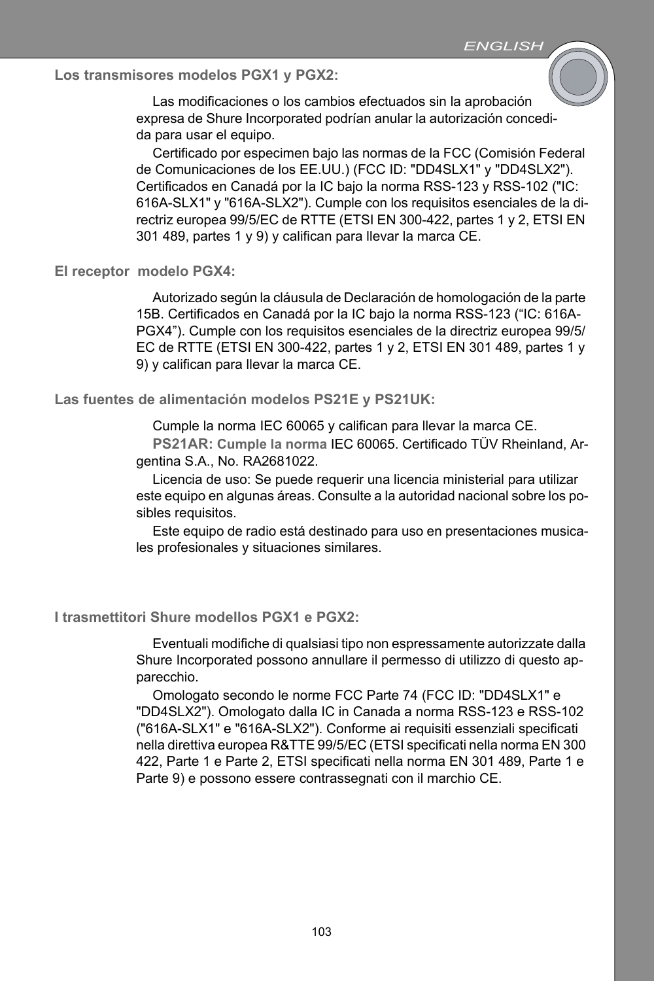**Los transmisores modelos PGX1 y PGX2:**

Las modificaciones o los cambios efectuados sin la aprobación expresa de Shure Incorporated podrían anular la autorización concedida para usar el equipo.

Certificado por especimen bajo las normas de la FCC (Comisión Federal de Comunicaciones de los EE.UU.) (FCC ID: "DD4SLX1" y "DD4SLX2"). Certificados en Canadá por la IC bajo la norma RSS-123 y RSS-102 ("IC: 616A-SLX1" y "616A-SLX2"). Cumple con los requisitos esenciales de la directriz europea 99/5/EC de RTTE (ETSI EN 300-422, partes 1 y 2, ETSI EN 301 489, partes 1 y 9) y califican para llevar la marca CE.

**El receptor modelo PGX4:**

Autorizado según la cláusula de Declaración de homologación de la parte 15B. Certificados en Canadá por la IC bajo la norma RSS-123 ("IC: 616A-PGX4"). Cumple con los requisitos esenciales de la directriz europea 99/5/ EC de RTTE (ETSI EN 300-422, partes 1 y 2, ETSI EN 301 489, partes 1 y 9) y califican para llevar la marca CE.

**Las fuentes de alimentación modelos PS21E y PS21UK:**

Cumple la norma IEC 60065 y califican para llevar la marca CE.

**PS21AR: Cumple la norma** IEC 60065. Certificado TÜV Rheinland, Argentina S.A., No. RA2681022.

Licencia de uso: Se puede requerir una licencia ministerial para utilizar este equipo en algunas áreas. Consulte a la autoridad nacional sobre los posibles requisitos.

Este equipo de radio está destinado para uso en presentaciones musicales profesionales y situaciones similares.

**I trasmettitori Shure modellos PGX1 e PGX2:**

Eventuali modifiche di qualsiasi tipo non espressamente autorizzate dalla Shure Incorporated possono annullare il permesso di utilizzo di questo apparecchio.

Omologato secondo le norme FCC Parte 74 (FCC ID: "DD4SLX1" e "DD4SLX2"). Omologato dalla IC in Canada a norma RSS-123 e RSS-102 ("616A-SLX1" e "616A-SLX2"). Conforme ai requisiti essenziali specificati nella direttiva europea R&TTE 99/5/EC (ETSI specificati nella norma EN 300 422, Parte 1 e Parte 2, ETSI specificati nella norma EN 301 489, Parte 1 e Parte 9) e possono essere contrassegnati con il marchio CE.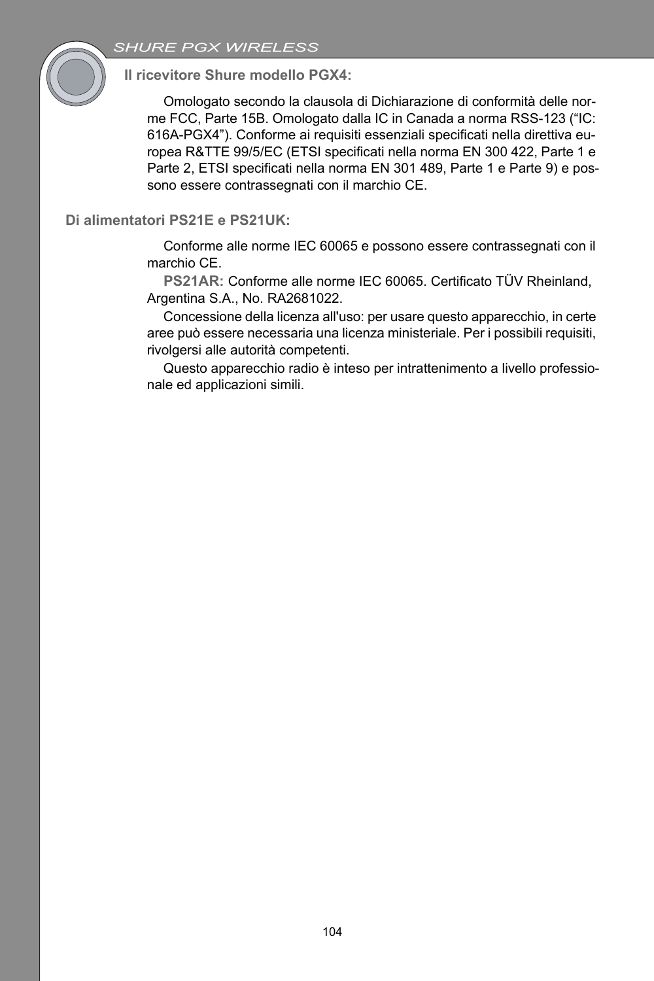### *SHURE PGX WIRELESS*



**Il ricevitore Shure modello PGX4:**

Omologato secondo la clausola di Dichiarazione di conformità delle norme FCC, Parte 15B. Omologato dalla IC in Canada a norma RSS-123 ("IC: 616A-PGX4"). Conforme ai requisiti essenziali specificati nella direttiva europea R&TTE 99/5/EC (ETSI specificati nella norma EN 300 422, Parte 1 e Parte 2, ETSI specificati nella norma EN 301 489, Parte 1 e Parte 9) e possono essere contrassegnati con il marchio CE.

### **Di alimentatori PS21E e PS21UK:**

Conforme alle norme IEC 60065 e possono essere contrassegnati con il marchio CE.

**PS21AR:** Conforme alle norme IEC 60065. Certificato TÜV Rheinland, Argentina S.A., No. RA2681022.

Concessione della licenza all'uso: per usare questo apparecchio, in certe aree può essere necessaria una licenza ministeriale. Per i possibili requisiti, rivolgersi alle autorità competenti.

Questo apparecchio radio è inteso per intrattenimento a livello professionale ed applicazioni simili.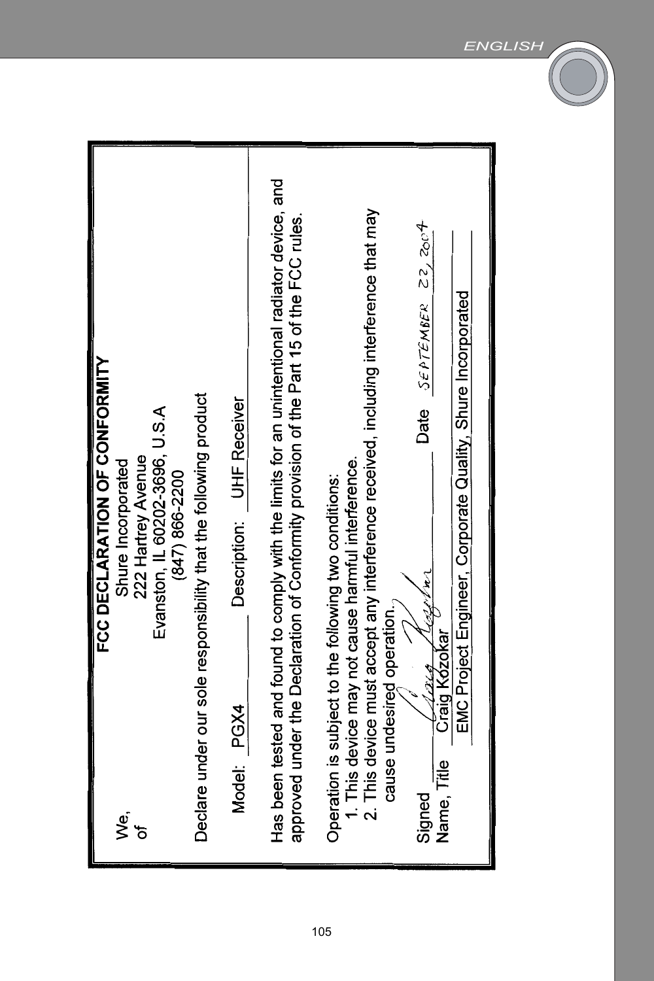| FCC DECLARATION OF CONFORMITY                                                                                                                                                            |
|------------------------------------------------------------------------------------------------------------------------------------------------------------------------------------------|
| Shure Incorporated<br>ِ<br>گ                                                                                                                                                             |
| 222 Hartrey Avenue                                                                                                                                                                       |
| Evanston, IL 60202-3696, U.S.A                                                                                                                                                           |
| (847) 866-2200                                                                                                                                                                           |
| Declare under our sole responsibility that the following product                                                                                                                         |
| Description: UHF Receiver<br>Model: PGX4                                                                                                                                                 |
|                                                                                                                                                                                          |
| Has been tested and found to comply with the limits for an unintentional radiator device, and<br>approved under the Declaration of Conformity provision of the Part 15 of the FCC rules. |
|                                                                                                                                                                                          |
| 1. This device may not cause harmful interference.<br>Operation is subject to the following two conditions:                                                                              |
| 2. This device must accept any interference received, including interference that may                                                                                                    |
| cause undesired operation.                                                                                                                                                               |
| Date $55PTEMBER$ $222C9$<br>ومبروس<br>Signed                                                                                                                                             |
| Craig Kozokar<br>Name, Title                                                                                                                                                             |
| EMC Project Engineer, Corporate Quality, Shure Incorporated                                                                                                                              |
|                                                                                                                                                                                          |
|                                                                                                                                                                                          |

105

*ENGLISH*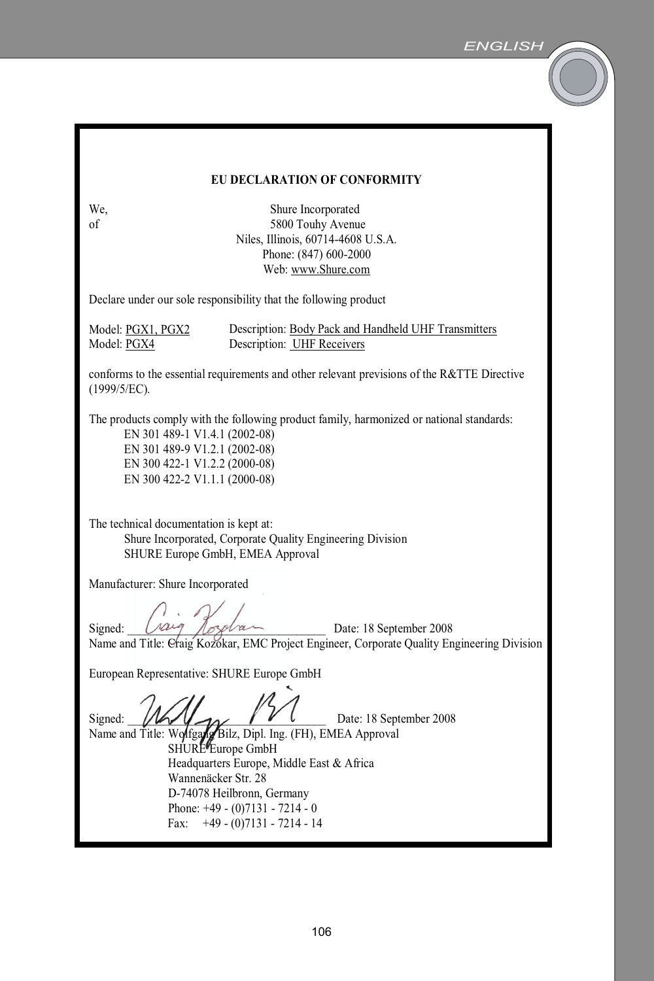| EU DECLARATION OF CONFORMITY                                                                                                                                                                                                                                                                           |                                                                                                                              |  |  |
|--------------------------------------------------------------------------------------------------------------------------------------------------------------------------------------------------------------------------------------------------------------------------------------------------------|------------------------------------------------------------------------------------------------------------------------------|--|--|
| We.<br>of                                                                                                                                                                                                                                                                                              | Shure Incorporated<br>5800 Touhy Avenue<br>Niles, Illinois, 60714-4608 U.S.A.<br>Phone: (847) 600-2000<br>Web: www.Shure.com |  |  |
|                                                                                                                                                                                                                                                                                                        | Declare under our sole responsibility that the following product                                                             |  |  |
| Model: PGX1, PGX2<br>Model: PGX4                                                                                                                                                                                                                                                                       | Description: Body Pack and Handheld UHF Transmitters<br>Description: UHF Receivers                                           |  |  |
| conforms to the essential requirements and other relevant previsions of the R&TTE Directive<br>(1999/5/EC).                                                                                                                                                                                            |                                                                                                                              |  |  |
| The products comply with the following product family, harmonized or national standards:<br>EN 301 489-1 V1.4.1 (2002-08)<br>EN 301 489-9 V1.2.1 (2002-08)<br>EN 300 422-1 V1.2.2 (2000-08)<br>EN 300 422-2 V1.1.1 (2000-08)                                                                           |                                                                                                                              |  |  |
| The technical documentation is kept at:<br>Shure Incorporated, Corporate Quality Engineering Division<br>SHURE Europe GmbH, EMEA Approval                                                                                                                                                              |                                                                                                                              |  |  |
| Manufacturer: Shure Incorporated                                                                                                                                                                                                                                                                       |                                                                                                                              |  |  |
| Date: 18 September 2008<br>Signed:<br>Name and Title: Craig Kozokar, EMC Project Engineer, Corporate Quality Engineering Division                                                                                                                                                                      |                                                                                                                              |  |  |
| European Representative: SHURE Europe GmbH                                                                                                                                                                                                                                                             |                                                                                                                              |  |  |
| Date: 18 September 2008<br>Signed:<br>Name and Title: Wolfgang Bilz, Dipl. Ing. (FH), EMEA Approval<br>SHURE Europe GmbH<br>Headquarters Europe, Middle East & Africa<br>Wannenäcker Str. 28<br>D-74078 Heilbronn, Germany<br>Phone: $+49 - (0)7131 - 7214 - 0$<br>$+49 - (0)7131 - 7214 - 14$<br>Fax: |                                                                                                                              |  |  |